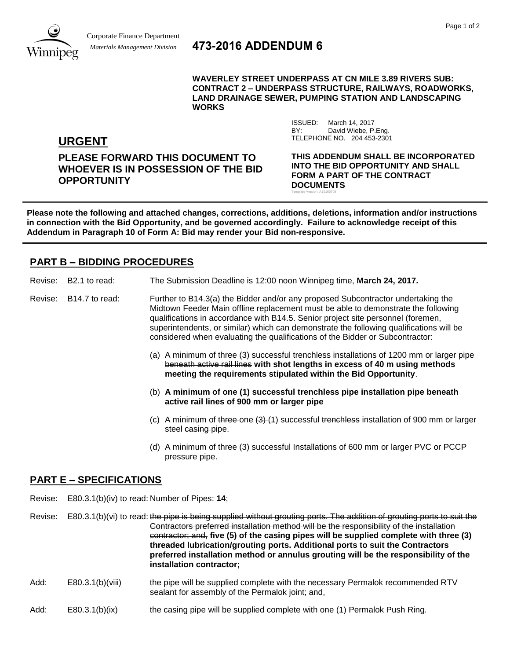

# *Materials Management Division* **473-2016 ADDENDUM 6**

**WAVERLEY STREET UNDERPASS AT CN MILE 3.89 RIVERS SUB: CONTRACT 2 – UNDERPASS STRUCTURE, RAILWAYS, ROADWORKS, LAND DRAINAGE SEWER, PUMPING STATION AND LANDSCAPING WORKS**

> ISSUED: March 14, 2017 BY: David Wiebe, P.Eng.

Template Version: A20160708

TELEPHONE NO. 204 453-2301

**URGENT**

**PLEASE FORWARD THIS DOCUMENT TO WHOEVER IS IN POSSESSION OF THE BID OPPORTUNITY**

**THIS ADDENDUM SHALL BE INCORPORATED INTO THE BID OPPORTUNITY AND SHALL FORM A PART OF THE CONTRACT DOCUMENTS**

**Please note the following and attached changes, corrections, additions, deletions, information and/or instructions in connection with the Bid Opportunity, and be governed accordingly. Failure to acknowledge receipt of this Addendum in Paragraph 10 of Form A: Bid may render your Bid non-responsive.**

## **PART B – BIDDING PROCEDURES**

- Revise: B2.1 to read: The Submission Deadline is 12:00 noon Winnipeg time, **March 24, 2017.**
- Revise: B14.7 to read: Further to B14.3(a) the Bidder and/or any proposed Subcontractor undertaking the Midtown Feeder Main offline replacement must be able to demonstrate the following qualifications in accordance with B14.5. Senior project site personnel (foremen, superintendents, or similar) which can demonstrate the following qualifications will be considered when evaluating the qualifications of the Bidder or Subcontractor:
	- (a) A minimum of three (3) successful trenchless installations of 1200 mm or larger pipe beneath active rail lines **with shot lengths in excess of 40 m using methods meeting the requirements stipulated within the Bid Opportunity**.
	- (b) **A minimum of one (1) successful trenchless pipe installation pipe beneath active rail lines of 900 mm or larger pipe**
	- (c) A minimum of three one  $(3)$  (1) successful trenchless installation of 900 mm or larger steel casing pipe.
	- (d) A minimum of three (3) successful Installations of 600 mm or larger PVC or PCCP pressure pipe.

### **PART E – SPECIFICATIONS**

Revise: E80.3.1(b)(iv) to read: Number of Pipes: **14**;

Revise: E80.3.1(b)(vi) to read: the pipe is being supplied without grouting ports. The addition of grouting ports to suit the Contractors preferred installation method will be the responsibility of the installation contractor; and, **five (5) of the casing pipes will be supplied complete with three (3) threaded lubrication/grouting ports. Additional ports to suit the Contractors preferred installation method or annulus grouting will be the responsibility of the installation contractor;** 

- Add: E80.3.1(b)(viii) the pipe will be supplied complete with the necessary Permalok recommended RTV sealant for assembly of the Permalok joint; and,
- Add: E80.3.1(b)(ix) the casing pipe will be supplied complete with one (1) Permalok Push Ring.